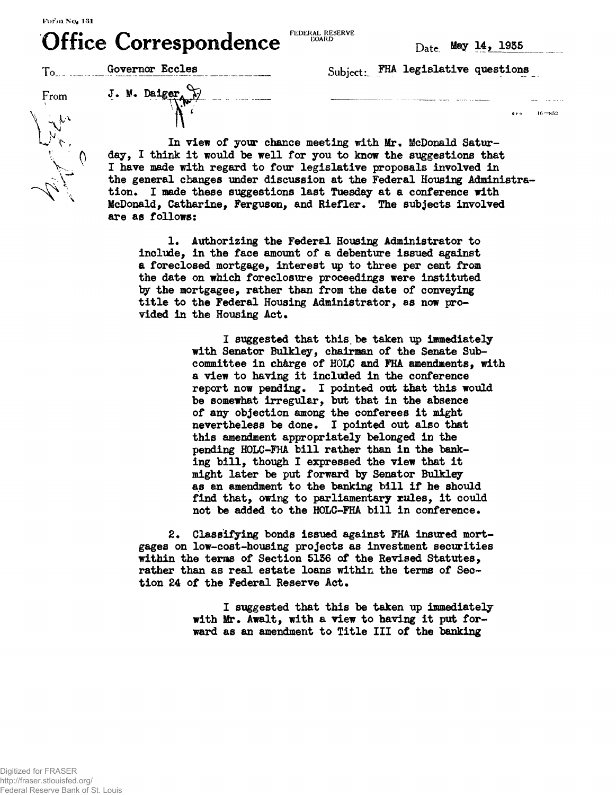$R$  **Corresponded** FEDERAL RESERVE **FEDERAL RESERVE** 

 $16 - 852$ 

| <b>OTHER COLLESPONDENCE</b> |                 | $\mathbf{D}_{\text{ate}}$ May 14, 1935 |
|-----------------------------|-----------------|----------------------------------------|
|                             | Governor Eccles | Subject: FHA legislative questions     |
| From                        | J. M. Daiger    |                                        |
| しょい                         |                 | 0.110                                  |

**In view of your chance meeting with Mr. McDonald Saturday, I think it would be well for you to know the suggestions that I have made with regard to four legislative proposals involved in the general changes under discussion at the Federal Housing Administration\* I made these suggestions last Tuesday at a conference with McDonald, Catharine, Ferguson, and Riefler\* The subjects involved are as follows:**

**!• Authorizing the Federal Housing Administrator to include, in the face amount of a debenture issued against a foreclosed mortgage, interest up to three per cent from the date on which foreclosure proceedings were instituted fay the mortgagee, rather than from the date of conveying title to the Federal Housing Administrator, as now pro**vided in the Housing Act.

> **I suggested that this.be taken up immediately with Senator Bulkley, chairman of the Senate Subcommittee in ch&rge of HOLC and FHA amendments, with a view to having it included in the conference** report now pending. I pointed out that this would **be somewhat irregular, but that in the absence of any objection among the conferees it might nevertheless be done\* I pointed out also that this amendment appropriately belonged in the pending HOLC-FHA bill rather than in the banking bill, though I expressed the view that it might later be put forward by Senator Bulkley as an amendment to the banking bill if he should** find that, owing to parliamentary rules, it could not be added to the HOLC-FHA bill in conference.

**2\* Classifying bonds issued against FHA insured mortgages on low-cost-housing projects as investment securities within the terms of Section 5136 of the Revised Statutes, rather than as real estate loans within the terms of Sec**tion 24 of the Federal Reserve Act.

> **I suggested that this be taken up immediately with Mr. Await, with a view to having it put forward as an amendment to Title III of the banking**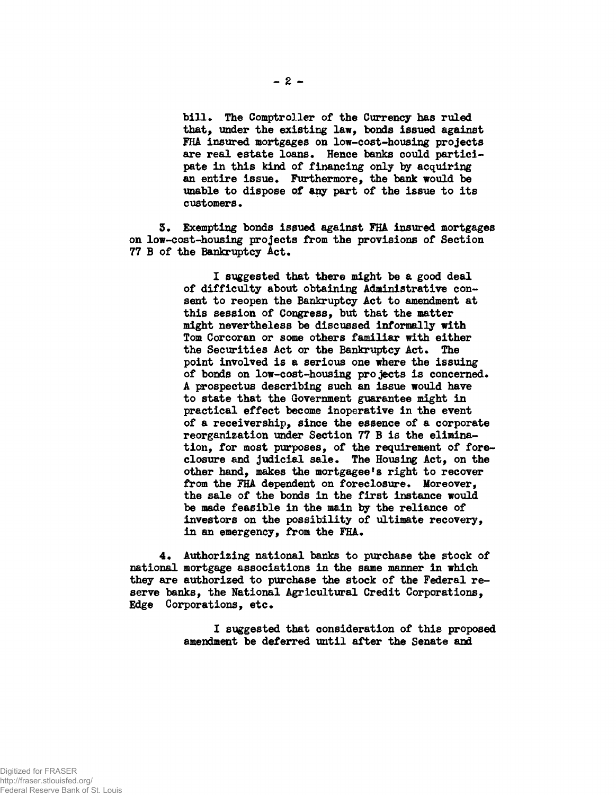bill. The Comptroller of the Currency has ruled **that, under the existing law, bonds issued against FHA insured mortgages on low-cost-housing projects are real estate loans. Hence banks could participate in this kind of financing only by acquiring an entire issue. Furthermore, the bank would be unable to dispose of any part of the issue to its customers.**

**5\* Exempting bonds issued against FHA insured mortgages on low-cost-housing projects from the provisions of Section 77 B of the Bankruptcy Act.**

> **I suggested that there might be a good deal of difficulty about obtaining Administrative consent to reopen the Bankruptcy Act to amendment at this session of Congress, but that the matter might nevertheless be discussed informally with Tom Corcoran or some others familiar with either the Securities Act or the Bankruptcy Act. The point involved is a serious one where the issuing of bonds on low-cost-housing projects is concerned. A prospectus describing such an issue would have to state that the Government guarantee might in practical effect become inoperative in the event of a receivership, since the essence of a corporate reorganization under Section 77 B is the elimination, for most purposes, of the requirement of foreclosure and judicial sale. The Housing Act, on the** other hand, makes the mortgagee's right to recover **from the FHA dependent on foreclosure. Moreover, the sale of the bonds in the first instance would be made feasible in the main by the reliance of investors on the possibility of ultimate recovery, in an emergency, from the FHA.**

**4. Authorizing national baxiks to purchase the stock of national mortgage associations in the same manner in which they are authorized to purchase the stock of the Federal reserve banks, the National Agricultural Credit Corporations, Edge Corporations, etc.**

> **I suggested that consideration of this proposed amendment be deferred until after the Senate and**